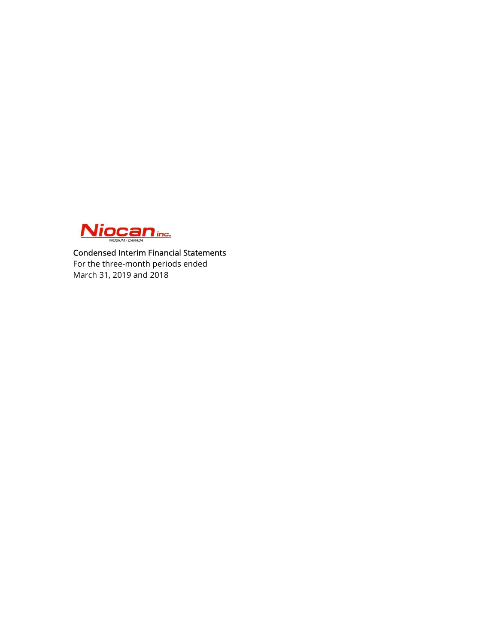

Condensed Interim Financial Statements For the three-month periods ended March 31, 2019 and 2018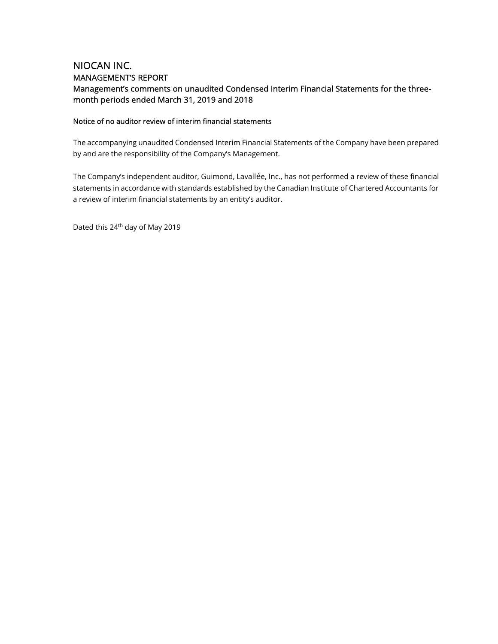# NIOCAN INC. MANAGEMENT'S REPORT Management's comments on unaudited Condensed Interim Financial Statements for the threemonth periods ended March 31, 2019 and 2018

### Notice of no auditor review of interim financial statements

The accompanying unaudited Condensed Interim Financial Statements of the Company have been prepared by and are the responsibility of the Company's Management.

The Company's independent auditor, Guimond, Lavallée, Inc., has not performed a review of these financial statements in accordance with standards established by the Canadian Institute of Chartered Accountants for a review of interim financial statements by an entity's auditor.

Dated this 24th day of May 2019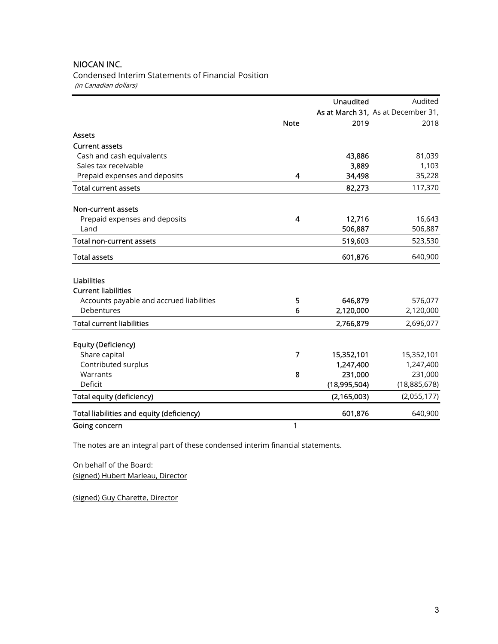Condensed Interim Statements of Financial Position (in Canadian dollars)

|                                           |                | <b>Unaudited</b> | Audited                            |
|-------------------------------------------|----------------|------------------|------------------------------------|
|                                           |                |                  | As at March 31, As at December 31, |
|                                           | <b>Note</b>    | 2019             | 2018                               |
| <b>Assets</b>                             |                |                  |                                    |
| <b>Current assets</b>                     |                |                  |                                    |
| Cash and cash equivalents                 |                | 43,886           | 81,039                             |
| Sales tax receivable                      |                | 3,889            | 1,103                              |
| Prepaid expenses and deposits             | 4              | 34,498           | 35,228                             |
| <b>Total current assets</b>               |                | 82,273           | 117,370                            |
| Non-current assets                        |                |                  |                                    |
| Prepaid expenses and deposits             | 4              | 12,716           | 16,643                             |
| Land                                      |                | 506,887          | 506,887                            |
| <b>Total non-current assets</b>           |                | 519,603          | 523,530                            |
| <b>Total assets</b>                       |                | 601,876          | 640,900                            |
| <b>Liabilities</b>                        |                |                  |                                    |
| <b>Current liabilities</b>                |                |                  |                                    |
| Accounts payable and accrued liabilities  | 5              | 646,879          | 576,077                            |
| Debentures                                | 6              | 2,120,000        | 2,120,000                          |
| <b>Total current liabilities</b>          |                | 2,766,879        | 2,696,077                          |
| Equity (Deficiency)                       |                |                  |                                    |
| Share capital                             | $\overline{7}$ | 15,352,101       | 15,352,101                         |
| Contributed surplus                       |                | 1,247,400        | 1,247,400                          |
| Warrants                                  | 8              | 231,000          | 231,000                            |
| Deficit                                   |                | (18,995,504)     | (18,885,678)                       |
| Total equity (deficiency)                 |                | (2, 165, 003)    | (2,055,177)                        |
| Total liabilities and equity (deficiency) |                | 601,876          | 640,900                            |
| Going concern                             | 1              |                  |                                    |

The notes are an integral part of these condensed interim financial statements.

On behalf of the Board: (signed) Hubert Marleau, Director

(signed) Guy Charette, Director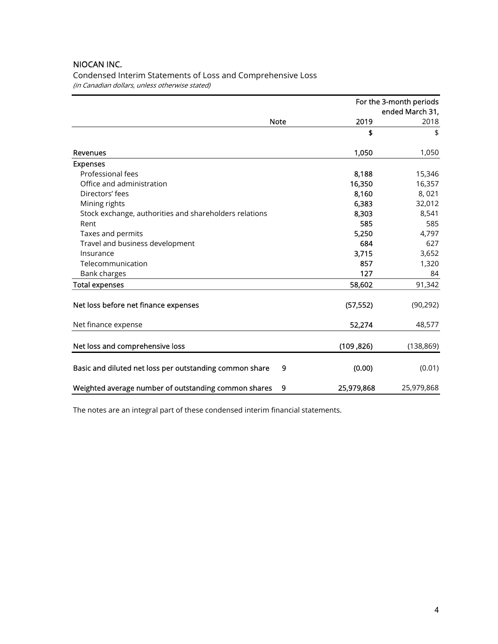Condensed Interim Statements of Loss and Comprehensive Loss (in Canadian dollars, unless otherwise stated)

|                                                              |            | For the 3-month periods<br>ended March 31, |
|--------------------------------------------------------------|------------|--------------------------------------------|
| <b>Note</b>                                                  | 2019       | 2018                                       |
|                                                              | \$         | \$                                         |
| Revenues                                                     | 1,050      | 1,050                                      |
| <b>Expenses</b>                                              |            |                                            |
| Professional fees                                            | 8,188      | 15,346                                     |
| Office and administration                                    | 16,350     | 16,357                                     |
| Directors' fees                                              | 8,160      | 8,021                                      |
| Mining rights                                                | 6,383      | 32,012                                     |
| Stock exchange, authorities and shareholders relations       | 8,303      | 8,541                                      |
| Rent                                                         | 585        | 585                                        |
| Taxes and permits                                            | 5,250      | 4,797                                      |
| Travel and business development                              | 684        | 627                                        |
| Insurance                                                    | 3,715      | 3,652                                      |
| Telecommunication                                            | 857        | 1,320                                      |
| <b>Bank charges</b>                                          | 127        | 84                                         |
| <b>Total expenses</b>                                        | 58,602     | 91,342                                     |
| Net loss before net finance expenses                         | (57, 552)  | (90, 292)                                  |
| Net finance expense                                          | 52,274     | 48,577                                     |
| Net loss and comprehensive loss                              | (109, 826) | (138, 869)                                 |
| Basic and diluted net loss per outstanding common share<br>9 | (0.00)     | (0.01)                                     |
| Weighted average number of outstanding common shares<br>9    | 25,979,868 | 25,979,868                                 |

The notes are an integral part of these condensed interim financial statements.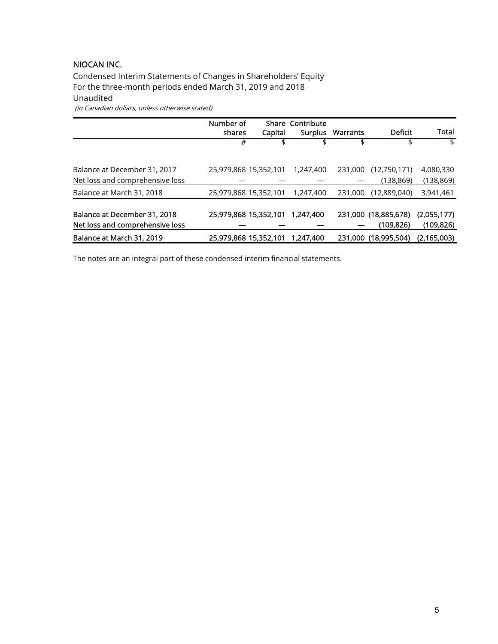Condensed Interim Statements of Changes in Shareholders' Equity For the three-month periods ended March 31, 2019 and 2018 Unaudited (in Canadian dollars, unless otherwise stated)

|                                 | Number of<br>shares   | Capital               | <b>Share Contribute</b><br><b>Surplus</b> | Warrants | Deficit              | Total       |
|---------------------------------|-----------------------|-----------------------|-------------------------------------------|----------|----------------------|-------------|
|                                 | #                     |                       | \$                                        | \$       | \$                   | \$          |
|                                 |                       |                       |                                           |          |                      |             |
| Balance at December 31, 2017    |                       | 25,979,868 15,352,101 | 1,247,400                                 | 231,000  | (12,750,171)         | 4,080,330   |
| Net loss and comprehensive loss |                       |                       |                                           |          | (138, 869)           | (138, 869)  |
| Balance at March 31, 2018       | 25,979,868 15,352,101 |                       | 1,247,400                                 | 231,000  | (12,889,040)         | 3,941,461   |
|                                 |                       |                       |                                           |          |                      |             |
| Balance at December 31, 2018    |                       | 25,979,868 15,352,101 | 1,247,400                                 |          | 231,000 (18,885,678) | (2,055,177) |
| Net loss and comprehensive loss |                       |                       |                                           |          | (109, 826)           | (109, 826)  |
| Balance at March 31, 2019       |                       | 25,979,868 15,352,101 | 1,247,400                                 |          | 231,000 (18,995,504) | (2,165,003) |

The notes are an integral part of these condensed interim financial statements.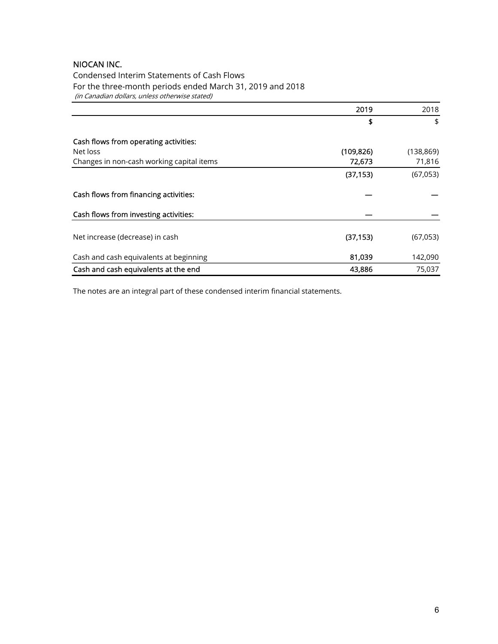Condensed Interim Statements of Cash Flows For the three-month periods ended March 31, 2019 and 2018 (in Canadian dollars, unless otherwise stated)

|                                           | 2019       | 2018       |
|-------------------------------------------|------------|------------|
|                                           | \$         | \$         |
| Cash flows from operating activities:     |            |            |
| Net loss                                  | (109, 826) | (138, 869) |
| Changes in non-cash working capital items | 72,673     | 71,816     |
|                                           | (37, 153)  | (67,053)   |
| Cash flows from financing activities:     |            |            |
| Cash flows from investing activities:     |            |            |
| Net increase (decrease) in cash           | (37, 153)  | (67,053)   |
| Cash and cash equivalents at beginning    | 81,039     | 142,090    |
| Cash and cash equivalents at the end      | 43,886     | 75,037     |

The notes are an integral part of these condensed interim financial statements.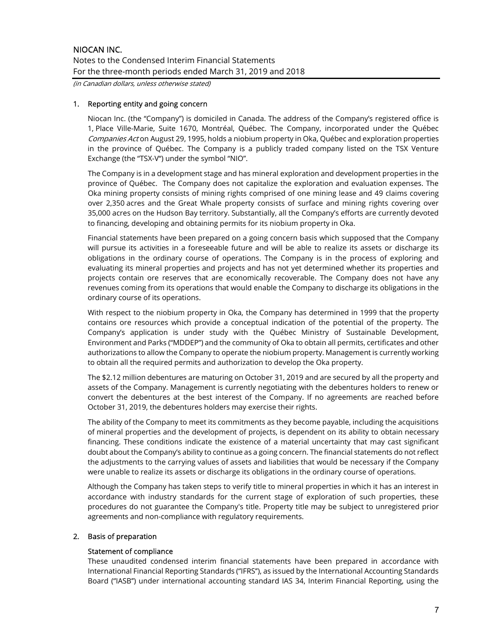(in Canadian dollars, unless otherwise stated)

#### 1. Reporting entity and going concern

Niocan Inc. (the "Company") is domiciled in Canada. The address of the Company's registered office is 1, Place Ville-Marie, Suite 1670, Montréal, Québec. The Company, incorporated under the Québec Companies Act on August 29, 1995, holds a niobium property in Oka, Québec and exploration properties in the province of Québec. The Company is a publicly traded company listed on the TSX Venture Exchange (the "TSX-V") under the symbol "NIO".

The Company is in a development stage and has mineral exploration and development properties in the province of Québec. The Company does not capitalize the exploration and evaluation expenses. The Oka mining property consists of mining rights comprised of one mining lease and 49 claims covering over 2,350 acres and the Great Whale property consists of surface and mining rights covering over 35,000 acres on the Hudson Bay territory. Substantially, all the Company's efforts are currently devoted to financing, developing and obtaining permits for its niobium property in Oka.

Financial statements have been prepared on a going concern basis which supposed that the Company will pursue its activities in a foreseeable future and will be able to realize its assets or discharge its obligations in the ordinary course of operations. The Company is in the process of exploring and evaluating its mineral properties and projects and has not yet determined whether its properties and projects contain ore reserves that are economically recoverable. The Company does not have any revenues coming from its operations that would enable the Company to discharge its obligations in the ordinary course of its operations.

With respect to the niobium property in Oka, the Company has determined in 1999 that the property contains ore resources which provide a conceptual indication of the potential of the property. The Company's application is under study with the Québec Ministry of Sustainable Development, Environment and Parks ("MDDEP") and the community of Oka to obtain all permits, certificates and other authorizations to allow the Company to operate the niobium property. Management is currently working to obtain all the required permits and authorization to develop the Oka property.

The \$2.12 million debentures are maturing on October 31, 2019 and are secured by all the property and assets of the Company. Management is currently negotiating with the debentures holders to renew or convert the debentures at the best interest of the Company. If no agreements are reached before October 31, 2019, the debentures holders may exercise their rights.

The ability of the Company to meet its commitments as they become payable, including the acquisitions of mineral properties and the development of projects, is dependent on its ability to obtain necessary financing. These conditions indicate the existence of a material uncertainty that may cast significant doubt about the Company's ability to continue as a going concern. The financial statements do not reflect the adjustments to the carrying values of assets and liabilities that would be necessary if the Company were unable to realize its assets or discharge its obligations in the ordinary course of operations.

Although the Company has taken steps to verify title to mineral properties in which it has an interest in accordance with industry standards for the current stage of exploration of such properties, these procedures do not guarantee the Company's title. Property title may be subject to unregistered prior agreements and non-compliance with regulatory requirements.

### 2. Basis of preparation

#### Statement of compliance

These unaudited condensed interim financial statements have been prepared in accordance with International Financial Reporting Standards (''IFRS''), as issued by the International Accounting Standards Board (''IASB'') under international accounting standard IAS 34, Interim Financial Reporting, using the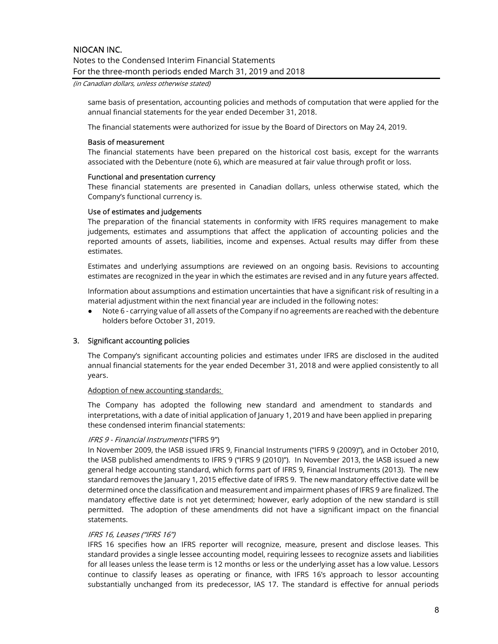Notes to the Condensed Interim Financial Statements For the three-month periods ended March 31, 2019 and 2018

(in Canadian dollars, unless otherwise stated)

same basis of presentation, accounting policies and methods of computation that were applied for the annual financial statements for the year ended December 31, 2018.

The financial statements were authorized for issue by the Board of Directors on May 24, 2019.

#### Basis of measurement

The financial statements have been prepared on the historical cost basis, except for the warrants associated with the Debenture (note 6), which are measured at fair value through profit or loss.

#### Functional and presentation currency

These financial statements are presented in Canadian dollars, unless otherwise stated, which the Company's functional currency is.

#### Use of estimates and judgements

The preparation of the financial statements in conformity with IFRS requires management to make judgements, estimates and assumptions that affect the application of accounting policies and the reported amounts of assets, liabilities, income and expenses. Actual results may differ from these estimates.

Estimates and underlying assumptions are reviewed on an ongoing basis. Revisions to accounting estimates are recognized in the year in which the estimates are revised and in any future years affected.

Information about assumptions and estimation uncertainties that have a significant risk of resulting in a material adjustment within the next financial year are included in the following notes:

● Note 6 - carrying value of all assets of the Company if no agreements are reached with the debenture holders before October 31, 2019.

#### 3. Significant accounting policies

The Company's significant accounting policies and estimates under IFRS are disclosed in the audited annual financial statements for the year ended December 31, 2018 and were applied consistently to all years.

#### Adoption of new accounting standards:

The Company has adopted the following new standard and amendment to standards and interpretations, with a date of initial application of January 1, 2019 and have been applied in preparing these condensed interim financial statements:

#### IFRS 9 - Financial Instruments ("IFRS 9")

In November 2009, the IASB issued IFRS 9, Financial Instruments ("IFRS 9 (2009)"), and in October 2010, the IASB published amendments to IFRS 9 ("IFRS 9 (2010)"). In November 2013, the IASB issued a new general hedge accounting standard, which forms part of IFRS 9, Financial Instruments (2013). The new standard removes the January 1, 2015 effective date of IFRS 9. The new mandatory effective date will be determined once the classification and measurement and impairment phases of IFRS 9 are finalized. The mandatory effective date is not yet determined; however, early adoption of the new standard is still permitted. The adoption of these amendments did not have a significant impact on the financial statements.

#### IFRS 16, Leases ("IFRS 16")

IFRS 16 specifies how an IFRS reporter will recognize, measure, present and disclose leases. This standard provides a single lessee accounting model, requiring lessees to recognize assets and liabilities for all leases unless the lease term is 12 months or less or the underlying asset has a low value. Lessors continue to classify leases as operating or finance, with IFRS 16's approach to lessor accounting substantially unchanged from its predecessor, IAS 17. The standard is effective for annual periods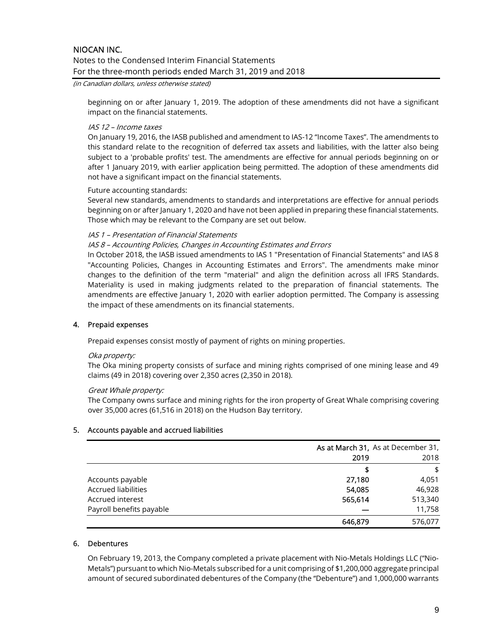#### (in Canadian dollars, unless otherwise stated)

beginning on or after January 1, 2019. The adoption of these amendments did not have a significant impact on the financial statements.

#### IAS 12 – Income taxes

On January 19, 2016, the IASB published and amendment to IAS-12 "Income Taxes". The amendments to this standard relate to the recognition of deferred tax assets and liabilities, with the latter also being subject to a 'probable profits' test. The amendments are effective for annual periods beginning on or after 1 January 2019, with earlier application being permitted. The adoption of these amendments did not have a significant impact on the financial statements.

#### Future accounting standards:

Several new standards, amendments to standards and interpretations are effective for annual periods beginning on or after January 1, 2020 and have not been applied in preparing these financial statements. Those which may be relevant to the Company are set out below.

#### IAS 1 – Presentation of Financial Statements

#### IAS 8 – Accounting Policies, Changes in Accounting Estimates and Errors

In October 2018, the IASB issued amendments to IAS 1 "Presentation of Financial Statements" and IAS 8 "Accounting Policies, Changes in Accounting Estimates and Errors". The amendments make minor changes to the definition of the term "material" and align the definition across all IFRS Standards. Materiality is used in making judgments related to the preparation of financial statements. The amendments are effective January 1, 2020 with earlier adoption permitted. The Company is assessing the impact of these amendments on its financial statements.

#### 4. Prepaid expenses

Prepaid expenses consist mostly of payment of rights on mining properties.

#### Oka property:

The Oka mining property consists of surface and mining rights comprised of one mining lease and 49 claims (49 in 2018) covering over 2,350 acres (2,350 in 2018).

#### Great Whale property:

The Company owns surface and mining rights for the iron property of Great Whale comprising covering over 35,000 acres (61,516 in 2018) on the Hudson Bay territory.

#### 5. Accounts payable and accrued liabilities

|                            | As at March 31, As at December 31, |         |
|----------------------------|------------------------------------|---------|
|                            | 2018<br>2019                       |         |
|                            |                                    | \$      |
| Accounts payable           | 27,180                             | 4,051   |
| <b>Accrued liabilities</b> | 54,085                             | 46,928  |
| Accrued interest           | 565,614                            | 513,340 |
| Payroll benefits payable   |                                    | 11,758  |
|                            | 646.879                            | 576,077 |

#### 6. Debentures

On February 19, 2013, the Company completed a private placement with Nio-Metals Holdings LLC ("Nio-Metals") pursuant to which Nio-Metals subscribed for a unit comprising of \$1,200,000 aggregate principal amount of secured subordinated debentures of the Company (the "Debenture") and 1,000,000 warrants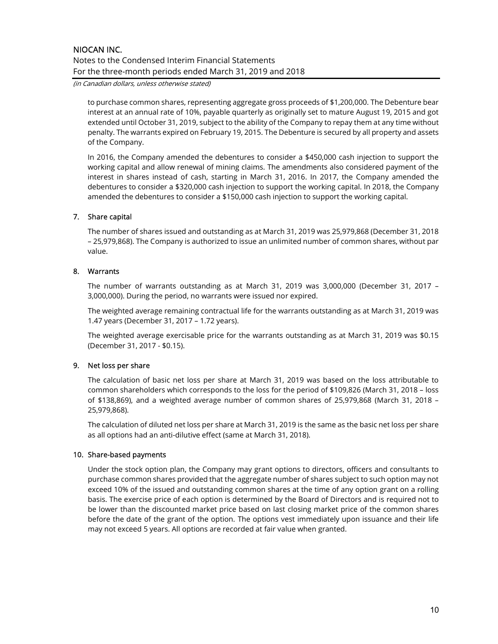(in Canadian dollars, unless otherwise stated)

to purchase common shares, representing aggregate gross proceeds of \$1,200,000. The Debenture bear interest at an annual rate of 10%, payable quarterly as originally set to mature August 19, 2015 and got extended until October 31, 2019, subject to the ability of the Company to repay them at any time without penalty. The warrants expired on February 19, 2015. The Debenture is secured by all property and assets of the Company.

In 2016, the Company amended the debentures to consider a \$450,000 cash injection to support the working capital and allow renewal of mining claims. The amendments also considered payment of the interest in shares instead of cash, starting in March 31, 2016. In 2017, the Company amended the debentures to consider a \$320,000 cash injection to support the working capital. In 2018, the Company amended the debentures to consider a \$150,000 cash injection to support the working capital.

### 7. Share capital

The number of shares issued and outstanding as at March 31, 2019 was 25,979,868 (December 31, 2018 – 25,979,868). The Company is authorized to issue an unlimited number of common shares, without par value.

### 8. Warrants

The number of warrants outstanding as at March 31, 2019 was 3,000,000 (December 31, 2017 – 3,000,000). During the period, no warrants were issued nor expired.

The weighted average remaining contractual life for the warrants outstanding as at March 31, 2019 was 1.47 years (December 31, 2017 – 1.72 years).

The weighted average exercisable price for the warrants outstanding as at March 31, 2019 was \$0.15 (December 31, 2017 - \$0.15).

#### 9. Net loss per share

The calculation of basic net loss per share at March 31, 2019 was based on the loss attributable to common shareholders which corresponds to the loss for the period of \$109,826 (March 31, 2018 – loss of \$138,869), and a weighted average number of common shares of 25,979,868 (March 31, 2018 – 25,979,868).

The calculation of diluted net loss per share at March 31, 2019 is the same as the basic net loss per share as all options had an anti-dilutive effect (same at March 31, 2018).

#### 10. Share-based payments

Under the stock option plan, the Company may grant options to directors, officers and consultants to purchase common shares provided that the aggregate number of shares subject to such option may not exceed 10% of the issued and outstanding common shares at the time of any option grant on a rolling basis. The exercise price of each option is determined by the Board of Directors and is required not to be lower than the discounted market price based on last closing market price of the common shares before the date of the grant of the option. The options vest immediately upon issuance and their life may not exceed 5 years. All options are recorded at fair value when granted.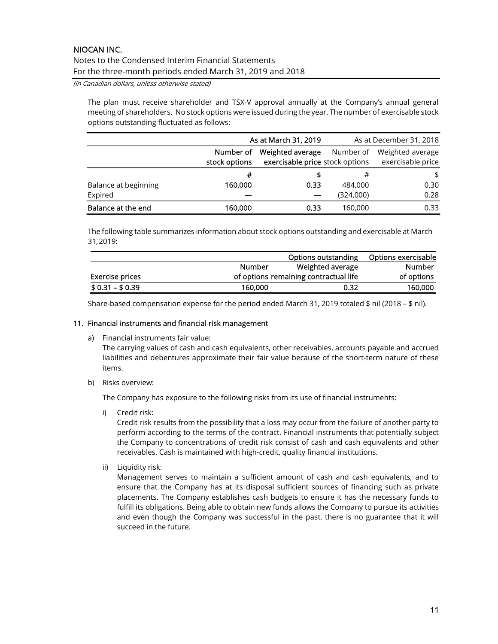(in Canadian dollars, unless otherwise stated)

The plan must receive shareholder and TSX-V approval annually at the Company's annual general meeting of shareholders. No stock options were issued during the year. The number of exercisable stock options outstanding fluctuated as follows:

|                      | As at March 31, 2019       |                                                                  |           | As at December 31, 2018               |
|----------------------|----------------------------|------------------------------------------------------------------|-----------|---------------------------------------|
|                      | Number of<br>stock options | Weighted average<br>Number of<br>exercisable price stock options |           | Weighted average<br>exercisable price |
|                      | #                          |                                                                  |           | \$                                    |
| Balance at beginning | 160,000                    | 0.33                                                             | 484,000   | 0.30                                  |
| Expired              |                            |                                                                  | (324,000) | 0.28                                  |
| Balance at the end   | 160,000                    | 0.33                                                             | 160,000   | 0.33                                  |

The following table summarizes information about stock options outstanding and exercisable at March 31, 2019:

|                 |               | Options outstanding                   | Options exercisable |
|-----------------|---------------|---------------------------------------|---------------------|
|                 | <b>Number</b> | Weighted average                      | Number              |
| Exercise prices |               | of options remaining contractual life | of options          |
| $$0.31 - $0.39$ | 160,000       | 0.32                                  | 160,000             |

Share-based compensation expense for the period ended March 31, 2019 totaled \$ nil (2018 – \$ nil).

### 11. Financial instruments and financial risk management

a) Financial instruments fair value:

The carrying values of cash and cash equivalents, other receivables, accounts payable and accrued liabilities and debentures approximate their fair value because of the short-term nature of these items.

b) Risks overview:

The Company has exposure to the following risks from its use of financial instruments:

i) Credit risk:

Credit risk results from the possibility that a loss may occur from the failure of another party to perform according to the terms of the contract. Financial instruments that potentially subject the Company to concentrations of credit risk consist of cash and cash equivalents and other receivables. Cash is maintained with high-credit, quality financial institutions.

ii) Liquidity risk:

Management serves to maintain a sufficient amount of cash and cash equivalents, and to ensure that the Company has at its disposal sufficient sources of financing such as private placements. The Company establishes cash budgets to ensure it has the necessary funds to fulfill its obligations. Being able to obtain new funds allows the Company to pursue its activities and even though the Company was successful in the past, there is no guarantee that it will succeed in the future.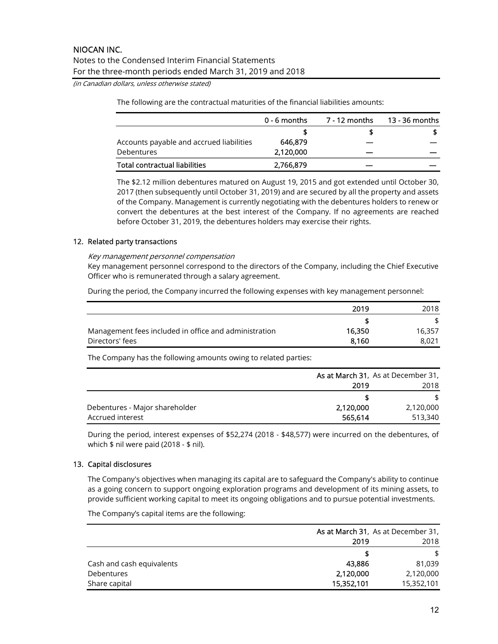(in Canadian dollars, unless otherwise stated)

The following are the contractual maturities of the financial liabilities amounts:

|                                          | $0 - 6$ months | 7 - 12 months | 13 - 36 months |
|------------------------------------------|----------------|---------------|----------------|
|                                          |                |               |                |
| Accounts payable and accrued liabilities | 646.879        |               |                |
| Debentures                               | 2,120,000      |               |                |
| Total contractual liabilities            | 2,766,879      |               |                |

The \$2.12 million debentures matured on August 19, 2015 and got extended until October 30, 2017 (then subsequently until October 31, 2019) and are secured by all the property and assets of the Company. Management is currently negotiating with the debentures holders to renew or convert the debentures at the best interest of the Company. If no agreements are reached before October 31, 2019, the debentures holders may exercise their rights.

### 12. Related party transactions

#### Key management personnel compensation

Key management personnel correspond to the directors of the Company, including the Chief Executive Officer who is remunerated through a salary agreement.

During the period, the Company incurred the following expenses with key management personnel:

|                                                       | 2019   | 2018   |
|-------------------------------------------------------|--------|--------|
|                                                       |        |        |
| Management fees included in office and administration | 16,350 | 16.357 |
| Directors' fees                                       | 8.160  | 8.021  |

The Company has the following amounts owing to related parties:

|                                | As at March 31, As at December 31, |           |  |
|--------------------------------|------------------------------------|-----------|--|
|                                | 2019                               | 2018      |  |
|                                |                                    | S.        |  |
| Debentures - Major shareholder | 2,120,000                          | 2,120,000 |  |
| Accrued interest               | 565,614                            | 513,340   |  |

During the period, interest expenses of \$52,274 (2018 - \$48,577) were incurred on the debentures, of which  $$$  nil were paid (2018 -  $$$  nil).

#### 13. Capital disclosures

The Company's objectives when managing its capital are to safeguard the Company's ability to continue as a going concern to support ongoing exploration programs and development of its mining assets, to provide sufficient working capital to meet its ongoing obligations and to pursue potential investments.

The Company's capital items are the following:

|                           | <b>As at March 31, As at December 31,</b> |            |
|---------------------------|-------------------------------------------|------------|
|                           | 2019                                      | 2018       |
|                           |                                           | \$         |
| Cash and cash equivalents | 43,886                                    | 81.039     |
| <b>Debentures</b>         | 2,120,000                                 | 2,120,000  |
| Share capital             | 15,352,101                                | 15,352,101 |